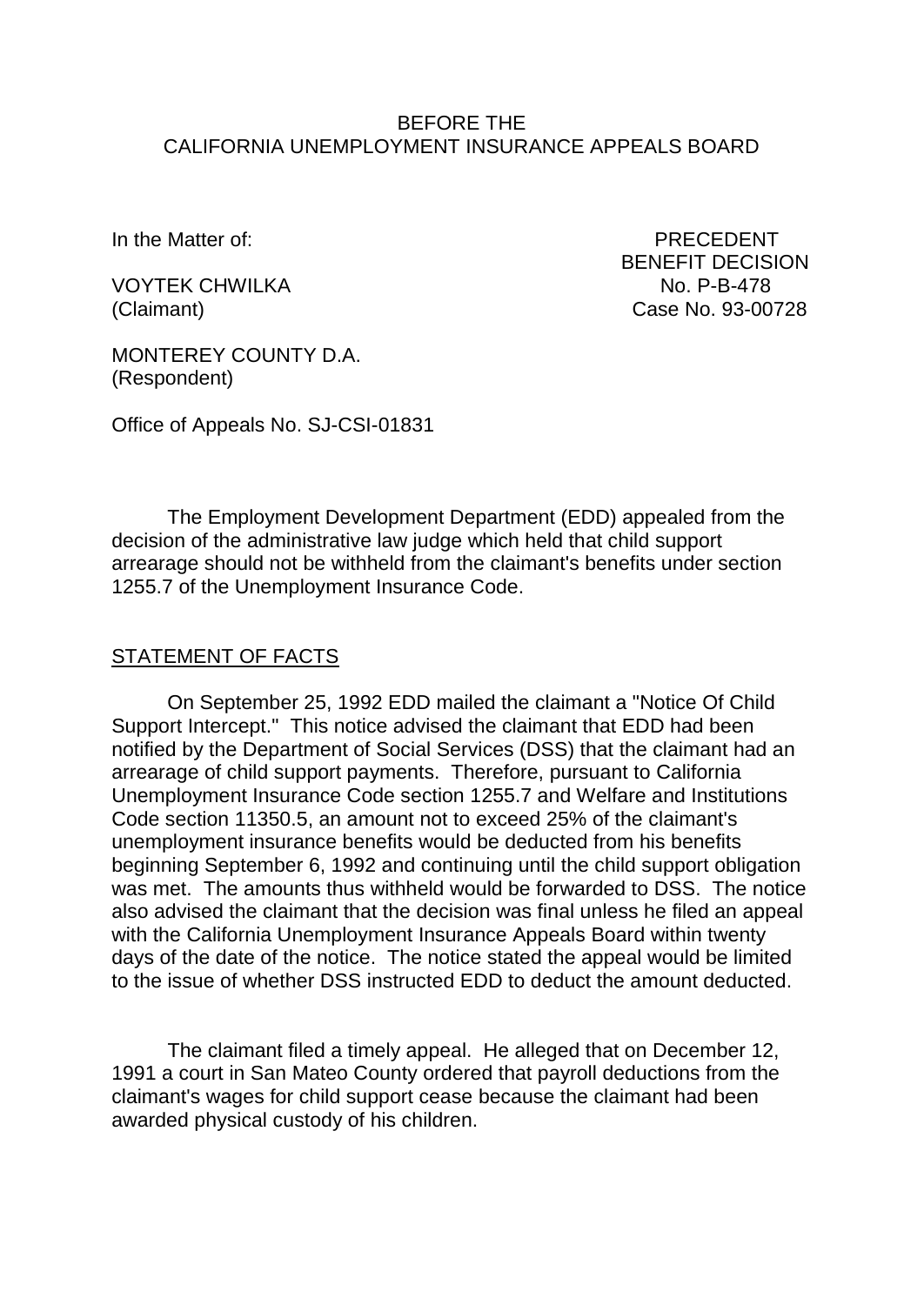#### BEFORE THE CALIFORNIA UNEMPLOYMENT INSURANCE APPEALS BOARD

In the Matter of: PRECEDENT

VOYTEK CHWILKA NO. P-B-478

BENEFIT DECISION (Claimant) Case No. 93-00728

MONTEREY COUNTY D.A. (Respondent)

Office of Appeals No. SJ-CSI-01831

The Employment Development Department (EDD) appealed from the decision of the administrative law judge which held that child support arrearage should not be withheld from the claimant's benefits under section 1255.7 of the Unemployment Insurance Code.

#### STATEMENT OF FACTS

On September 25, 1992 EDD mailed the claimant a "Notice Of Child Support Intercept." This notice advised the claimant that EDD had been notified by the Department of Social Services (DSS) that the claimant had an arrearage of child support payments. Therefore, pursuant to California Unemployment Insurance Code section 1255.7 and Welfare and Institutions Code section 11350.5, an amount not to exceed 25% of the claimant's unemployment insurance benefits would be deducted from his benefits beginning September 6, 1992 and continuing until the child support obligation was met. The amounts thus withheld would be forwarded to DSS. The notice also advised the claimant that the decision was final unless he filed an appeal with the California Unemployment Insurance Appeals Board within twenty days of the date of the notice. The notice stated the appeal would be limited to the issue of whether DSS instructed EDD to deduct the amount deducted.

The claimant filed a timely appeal. He alleged that on December 12, 1991 a court in San Mateo County ordered that payroll deductions from the claimant's wages for child support cease because the claimant had been awarded physical custody of his children.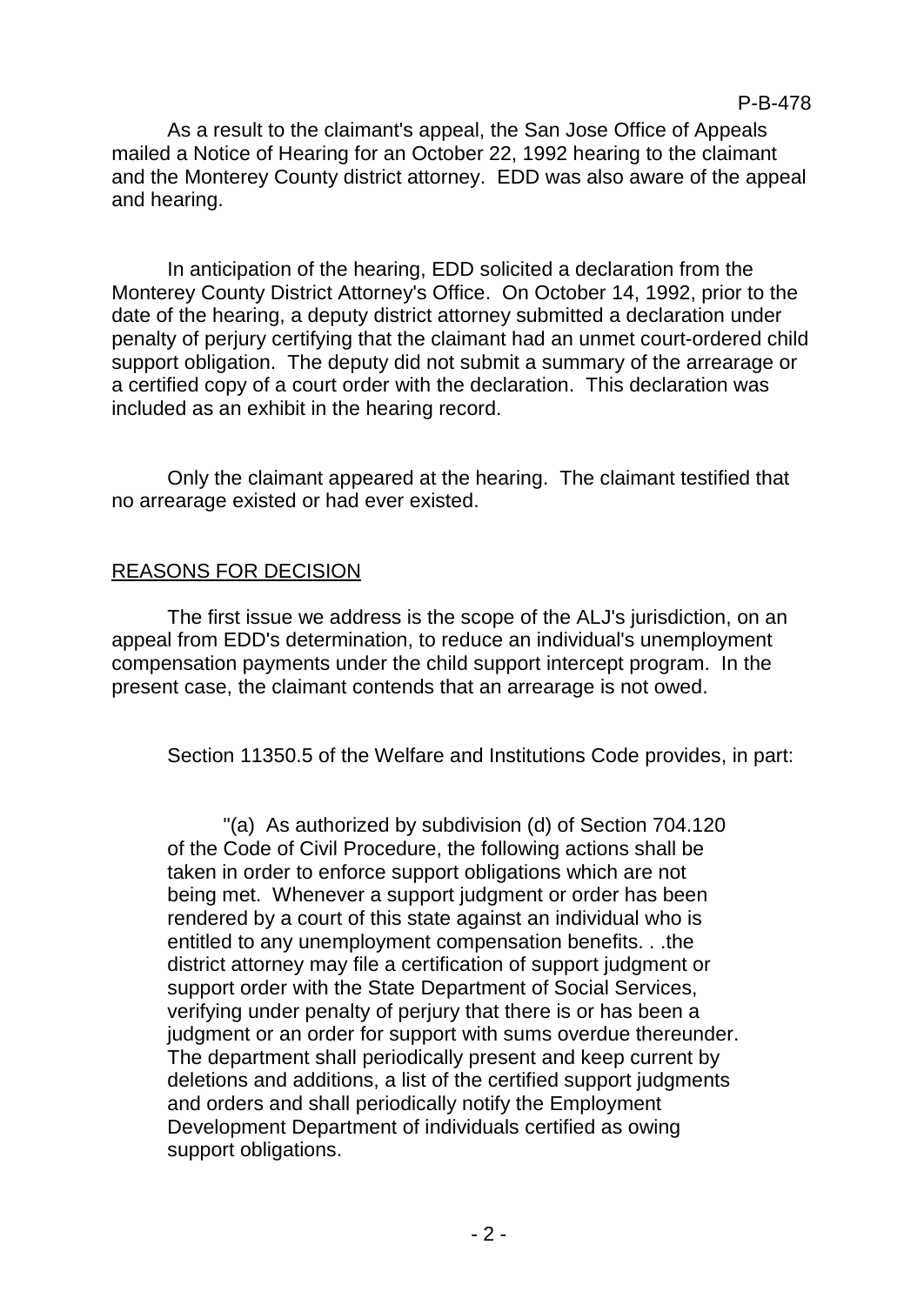As a result to the claimant's appeal, the San Jose Office of Appeals mailed a Notice of Hearing for an October 22, 1992 hearing to the claimant and the Monterey County district attorney. EDD was also aware of the appeal and hearing.

In anticipation of the hearing, EDD solicited a declaration from the Monterey County District Attorney's Office. On October 14, 1992, prior to the date of the hearing, a deputy district attorney submitted a declaration under penalty of perjury certifying that the claimant had an unmet court-ordered child support obligation. The deputy did not submit a summary of the arrearage or a certified copy of a court order with the declaration. This declaration was included as an exhibit in the hearing record.

Only the claimant appeared at the hearing. The claimant testified that no arrearage existed or had ever existed.

## REASONS FOR DECISION

The first issue we address is the scope of the ALJ's jurisdiction, on an appeal from EDD's determination, to reduce an individual's unemployment compensation payments under the child support intercept program. In the present case, the claimant contends that an arrearage is not owed.

Section 11350.5 of the Welfare and Institutions Code provides, in part:

"(a) As authorized by subdivision (d) of Section 704.120 of the Code of Civil Procedure, the following actions shall be taken in order to enforce support obligations which are not being met. Whenever a support judgment or order has been rendered by a court of this state against an individual who is entitled to any unemployment compensation benefits. . .the district attorney may file a certification of support judgment or support order with the State Department of Social Services, verifying under penalty of perjury that there is or has been a judgment or an order for support with sums overdue thereunder. The department shall periodically present and keep current by deletions and additions, a list of the certified support judgments and orders and shall periodically notify the Employment Development Department of individuals certified as owing support obligations.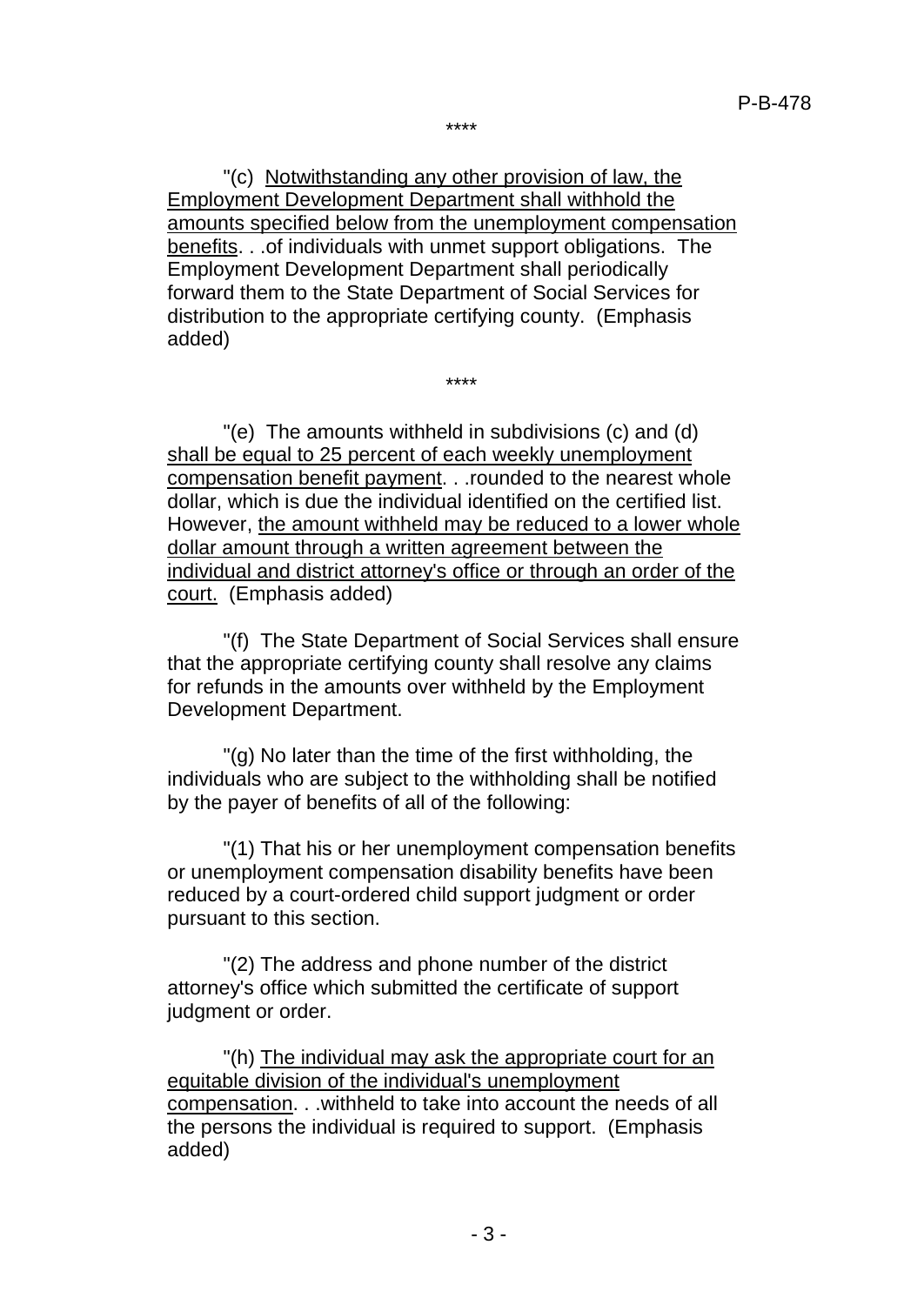\*\*\*\*

"(c) Notwithstanding any other provision of law, the Employment Development Department shall withhold the amounts specified below from the unemployment compensation benefits. . .of individuals with unmet support obligations. The Employment Development Department shall periodically forward them to the State Department of Social Services for distribution to the appropriate certifying county. (Emphasis added)

\*\*\*\*

"(e) The amounts withheld in subdivisions (c) and (d) shall be equal to 25 percent of each weekly unemployment compensation benefit payment. . .rounded to the nearest whole dollar, which is due the individual identified on the certified list. However, the amount withheld may be reduced to a lower whole dollar amount through a written agreement between the individual and district attorney's office or through an order of the court. (Emphasis added)

"(f) The State Department of Social Services shall ensure that the appropriate certifying county shall resolve any claims for refunds in the amounts over withheld by the Employment Development Department.

"(g) No later than the time of the first withholding, the individuals who are subject to the withholding shall be notified by the payer of benefits of all of the following:

"(1) That his or her unemployment compensation benefits or unemployment compensation disability benefits have been reduced by a court-ordered child support judgment or order pursuant to this section.

"(2) The address and phone number of the district attorney's office which submitted the certificate of support judgment or order.

"(h) The individual may ask the appropriate court for an equitable division of the individual's unemployment compensation. . .withheld to take into account the needs of all the persons the individual is required to support. (Emphasis added)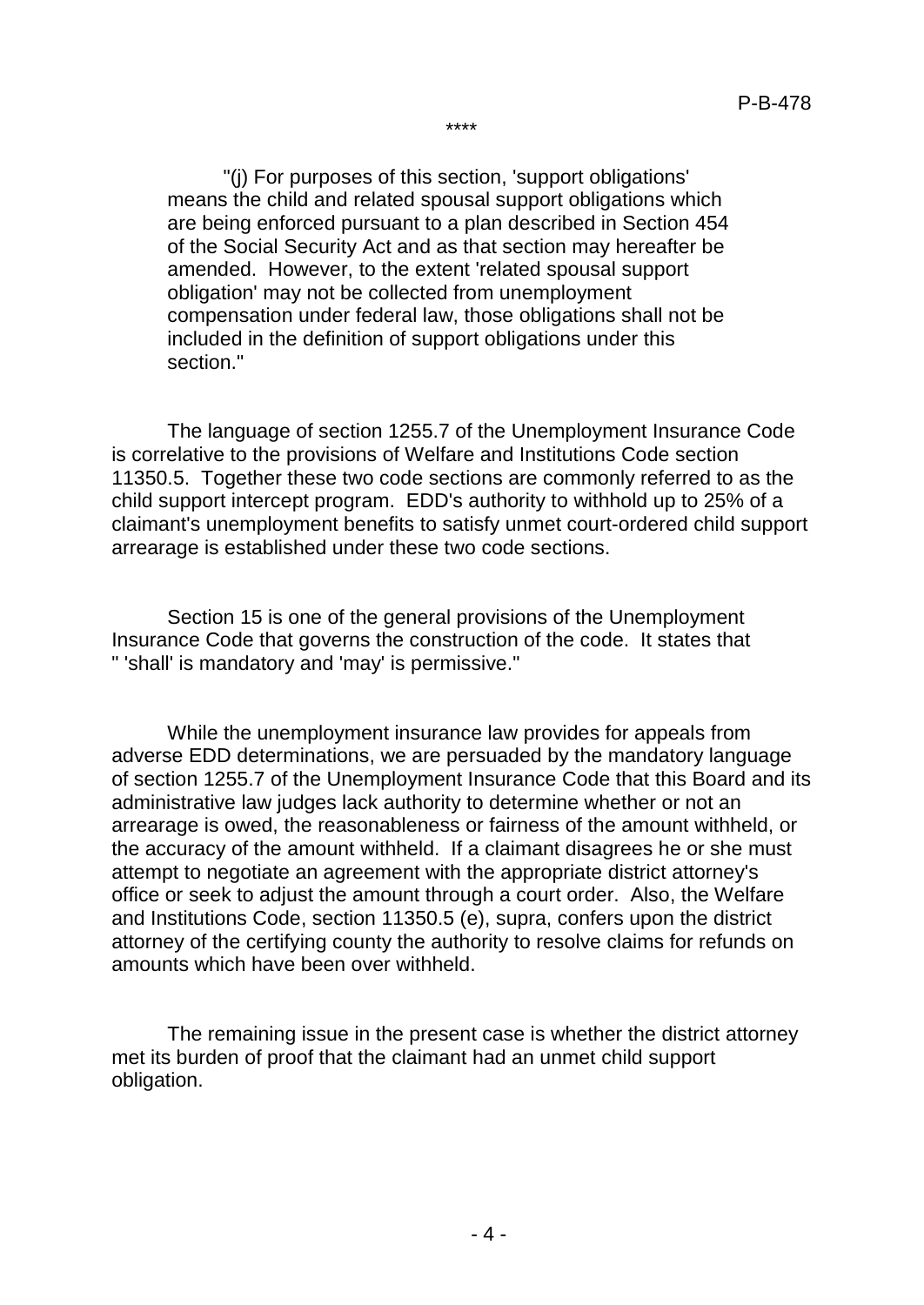\*\*\*\*

"(j) For purposes of this section, 'support obligations' means the child and related spousal support obligations which are being enforced pursuant to a plan described in Section 454 of the Social Security Act and as that section may hereafter be amended. However, to the extent 'related spousal support obligation' may not be collected from unemployment compensation under federal law, those obligations shall not be included in the definition of support obligations under this section."

The language of section 1255.7 of the Unemployment Insurance Code is correlative to the provisions of Welfare and Institutions Code section 11350.5. Together these two code sections are commonly referred to as the child support intercept program. EDD's authority to withhold up to 25% of a claimant's unemployment benefits to satisfy unmet court-ordered child support arrearage is established under these two code sections.

Section 15 is one of the general provisions of the Unemployment Insurance Code that governs the construction of the code. It states that " 'shall' is mandatory and 'may' is permissive."

While the unemployment insurance law provides for appeals from adverse EDD determinations, we are persuaded by the mandatory language of section 1255.7 of the Unemployment Insurance Code that this Board and its administrative law judges lack authority to determine whether or not an arrearage is owed, the reasonableness or fairness of the amount withheld, or the accuracy of the amount withheld. If a claimant disagrees he or she must attempt to negotiate an agreement with the appropriate district attorney's office or seek to adjust the amount through a court order. Also, the Welfare and Institutions Code, section 11350.5 (e), supra, confers upon the district attorney of the certifying county the authority to resolve claims for refunds on amounts which have been over withheld.

The remaining issue in the present case is whether the district attorney met its burden of proof that the claimant had an unmet child support obligation.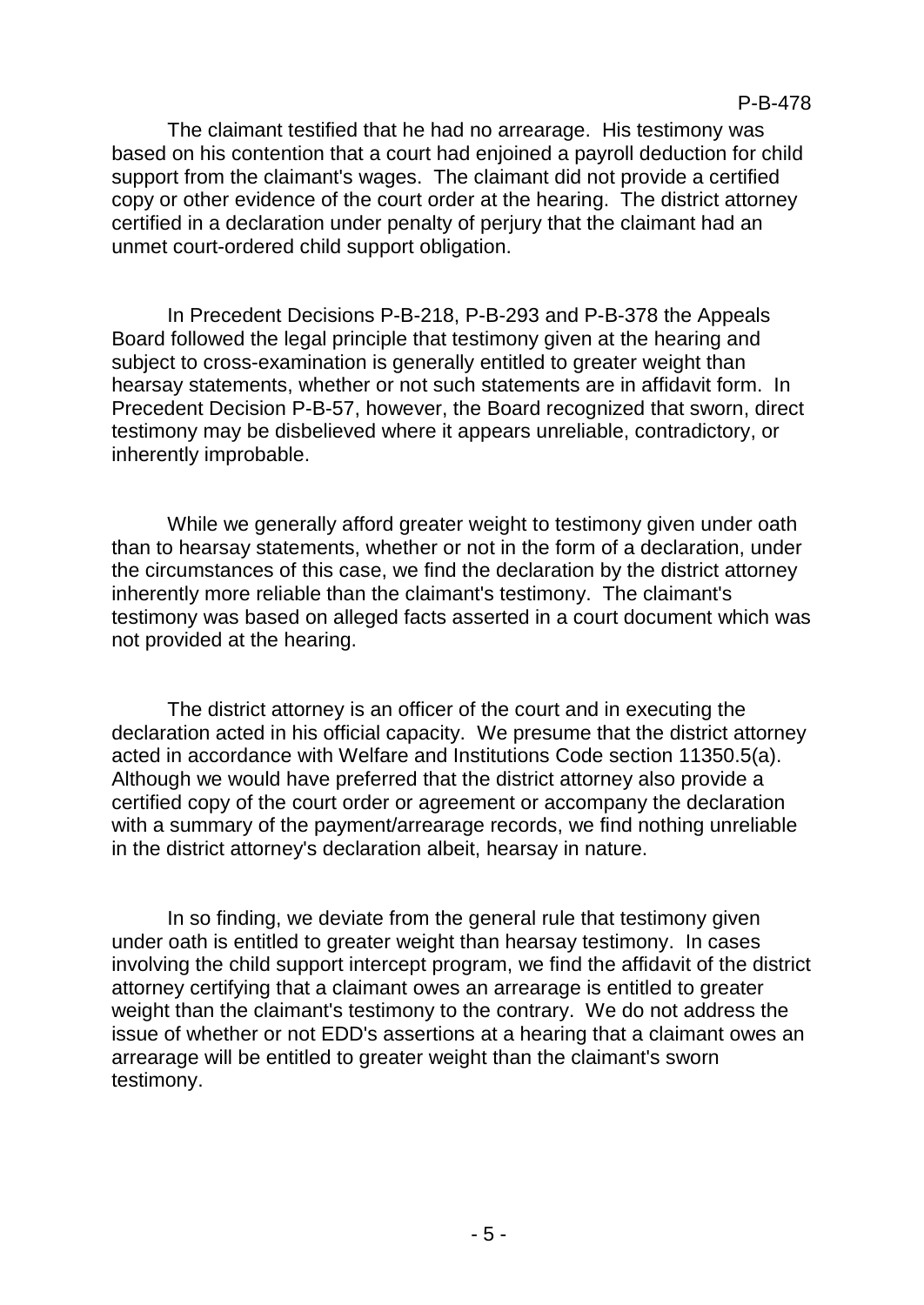The claimant testified that he had no arrearage. His testimony was based on his contention that a court had enjoined a payroll deduction for child support from the claimant's wages. The claimant did not provide a certified copy or other evidence of the court order at the hearing. The district attorney certified in a declaration under penalty of perjury that the claimant had an unmet court-ordered child support obligation.

In Precedent Decisions P-B-218, P-B-293 and P-B-378 the Appeals Board followed the legal principle that testimony given at the hearing and subject to cross-examination is generally entitled to greater weight than hearsay statements, whether or not such statements are in affidavit form. In Precedent Decision P-B-57, however, the Board recognized that sworn, direct testimony may be disbelieved where it appears unreliable, contradictory, or inherently improbable.

While we generally afford greater weight to testimony given under oath than to hearsay statements, whether or not in the form of a declaration, under the circumstances of this case, we find the declaration by the district attorney inherently more reliable than the claimant's testimony. The claimant's testimony was based on alleged facts asserted in a court document which was not provided at the hearing.

The district attorney is an officer of the court and in executing the declaration acted in his official capacity. We presume that the district attorney acted in accordance with Welfare and Institutions Code section 11350.5(a). Although we would have preferred that the district attorney also provide a certified copy of the court order or agreement or accompany the declaration with a summary of the payment/arrearage records, we find nothing unreliable in the district attorney's declaration albeit, hearsay in nature.

In so finding, we deviate from the general rule that testimony given under oath is entitled to greater weight than hearsay testimony. In cases involving the child support intercept program, we find the affidavit of the district attorney certifying that a claimant owes an arrearage is entitled to greater weight than the claimant's testimony to the contrary. We do not address the issue of whether or not EDD's assertions at a hearing that a claimant owes an arrearage will be entitled to greater weight than the claimant's sworn testimony.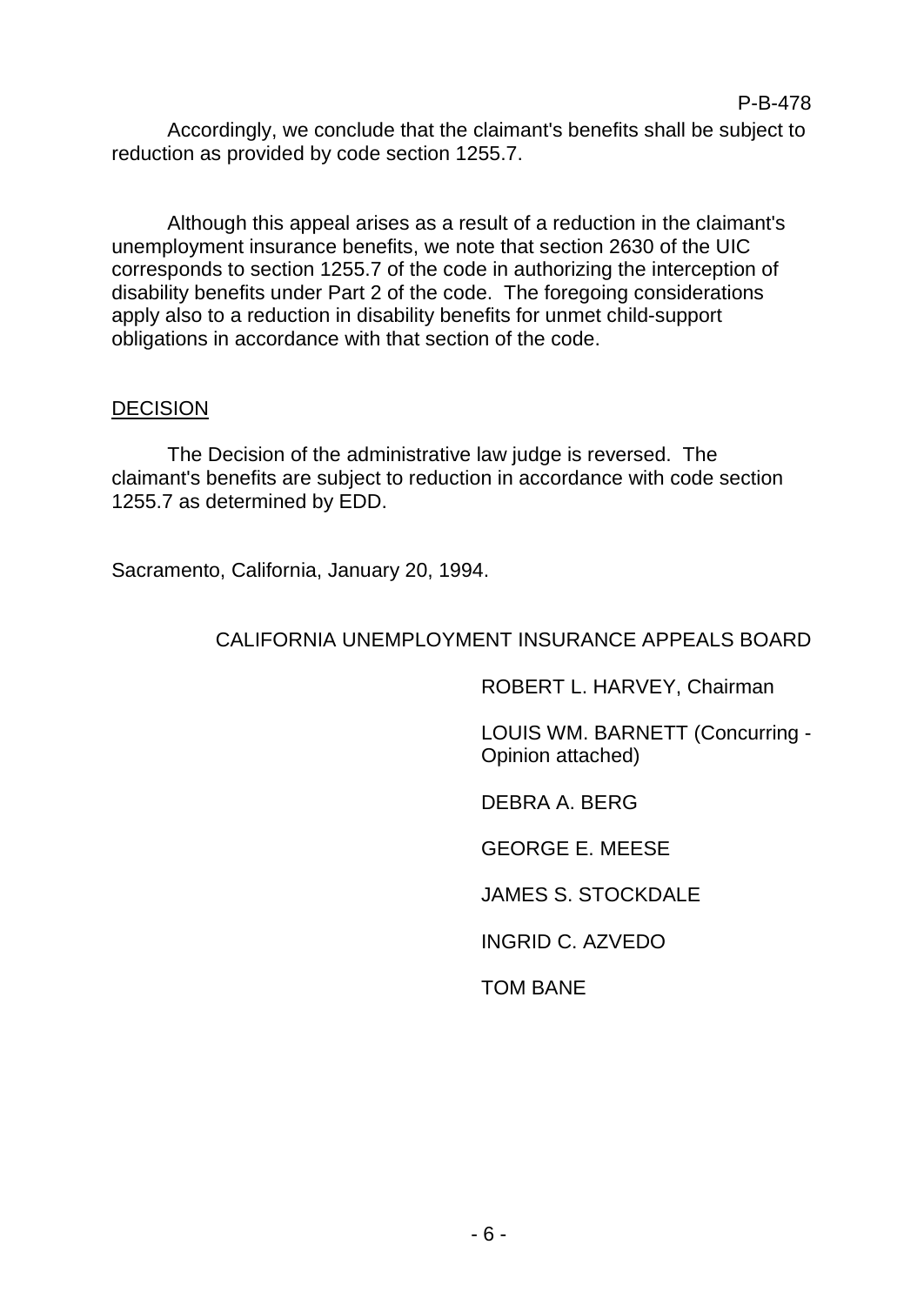Accordingly, we conclude that the claimant's benefits shall be subject to reduction as provided by code section 1255.7.

Although this appeal arises as a result of a reduction in the claimant's unemployment insurance benefits, we note that section 2630 of the UIC corresponds to section 1255.7 of the code in authorizing the interception of disability benefits under Part 2 of the code. The foregoing considerations apply also to a reduction in disability benefits for unmet child-support obligations in accordance with that section of the code.

## **DECISION**

The Decision of the administrative law judge is reversed. The claimant's benefits are subject to reduction in accordance with code section 1255.7 as determined by EDD.

Sacramento, California, January 20, 1994.

# CALIFORNIA UNEMPLOYMENT INSURANCE APPEALS BOARD

ROBERT L. HARVEY, Chairman

LOUIS WM. BARNETT (Concurring - Opinion attached)

DEBRA A. BERG

GEORGE E. MEESE

JAMES S. STOCKDALE

INGRID C. AZVEDO

TOM BANE